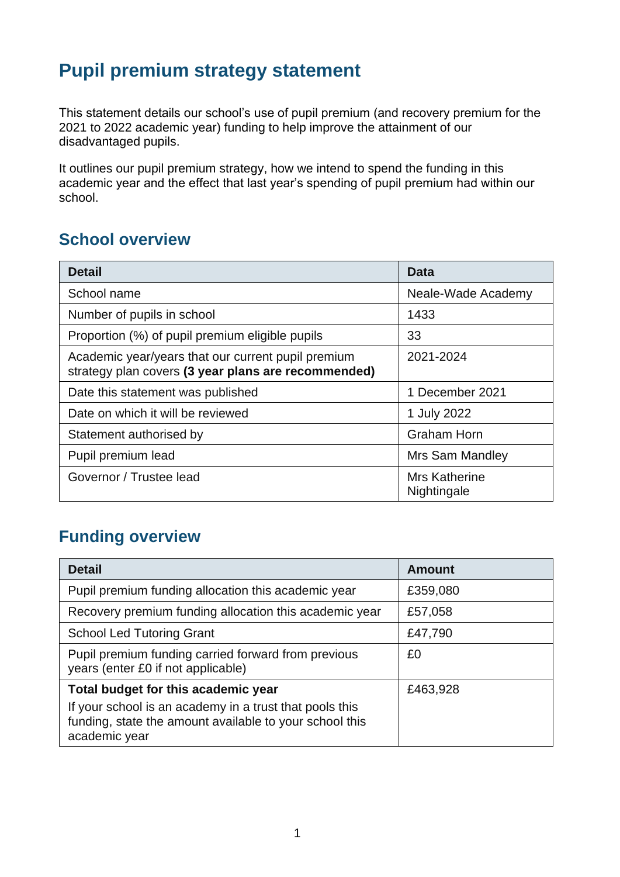## **Pupil premium strategy statement**

This statement details our school's use of pupil premium (and recovery premium for the 2021 to 2022 academic year) funding to help improve the attainment of our disadvantaged pupils.

It outlines our pupil premium strategy, how we intend to spend the funding in this academic year and the effect that last year's spending of pupil premium had within our school.

#### **School overview**

| <b>Detail</b>                                                                                             | Data                         |
|-----------------------------------------------------------------------------------------------------------|------------------------------|
| School name                                                                                               | Neale-Wade Academy           |
| Number of pupils in school                                                                                | 1433                         |
| Proportion (%) of pupil premium eligible pupils                                                           | 33                           |
| Academic year/years that our current pupil premium<br>strategy plan covers (3 year plans are recommended) | 2021-2024                    |
| Date this statement was published                                                                         | 1 December 2021              |
| Date on which it will be reviewed                                                                         | 1 July 2022                  |
| Statement authorised by                                                                                   | <b>Graham Horn</b>           |
| Pupil premium lead                                                                                        | <b>Mrs Sam Mandley</b>       |
| Governor / Trustee lead                                                                                   | Mrs Katherine<br>Nightingale |

## **Funding overview**

| <b>Detail</b>                                                                                                                       | Amount   |
|-------------------------------------------------------------------------------------------------------------------------------------|----------|
| Pupil premium funding allocation this academic year                                                                                 | £359,080 |
| Recovery premium funding allocation this academic year                                                                              | £57,058  |
| <b>School Led Tutoring Grant</b>                                                                                                    | £47,790  |
| Pupil premium funding carried forward from previous<br>years (enter £0 if not applicable)                                           | £0       |
| Total budget for this academic year                                                                                                 | £463,928 |
| If your school is an academy in a trust that pools this<br>funding, state the amount available to your school this<br>academic year |          |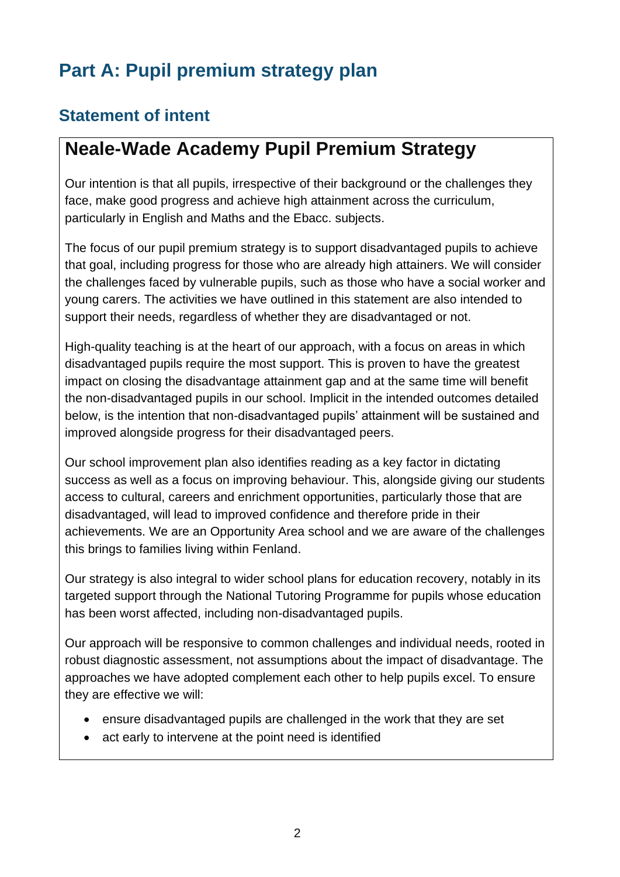# **Part A: Pupil premium strategy plan**

## **Statement of intent**

## **Neale-Wade Academy Pupil Premium Strategy**

Our intention is that all pupils, irrespective of their background or the challenges they face, make good progress and achieve high attainment across the curriculum, particularly in English and Maths and the Ebacc. subjects.

The focus of our pupil premium strategy is to support disadvantaged pupils to achieve that goal, including progress for those who are already high attainers. We will consider the challenges faced by vulnerable pupils, such as those who have a social worker and young carers. The activities we have outlined in this statement are also intended to support their needs, regardless of whether they are disadvantaged or not.

High-quality teaching is at the heart of our approach, with a focus on areas in which disadvantaged pupils require the most support. This is proven to have the greatest impact on closing the disadvantage attainment gap and at the same time will benefit the non-disadvantaged pupils in our school. Implicit in the intended outcomes detailed below, is the intention that non-disadvantaged pupils' attainment will be sustained and improved alongside progress for their disadvantaged peers.

Our school improvement plan also identifies reading as a key factor in dictating success as well as a focus on improving behaviour. This, alongside giving our students access to cultural, careers and enrichment opportunities, particularly those that are disadvantaged, will lead to improved confidence and therefore pride in their achievements. We are an Opportunity Area school and we are aware of the challenges this brings to families living within Fenland.

Our strategy is also integral to wider school plans for education recovery, notably in its targeted support through the National Tutoring Programme for pupils whose education has been worst affected, including non-disadvantaged pupils.

Our approach will be responsive to common challenges and individual needs, rooted in robust diagnostic assessment, not assumptions about the impact of disadvantage. The approaches we have adopted complement each other to help pupils excel. To ensure they are effective we will:

- ensure disadvantaged pupils are challenged in the work that they are set
- act early to intervene at the point need is identified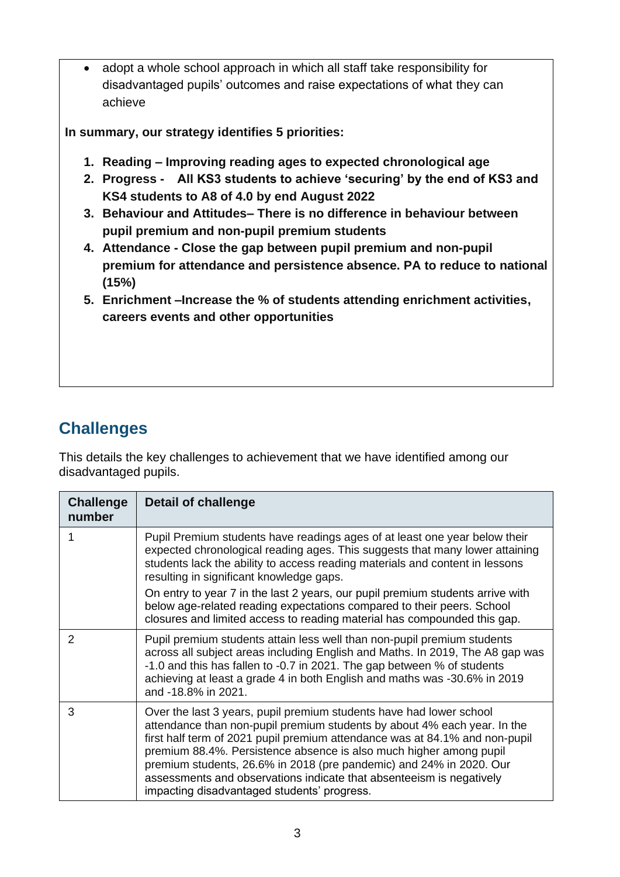• adopt a whole school approach in which all staff take responsibility for disadvantaged pupils' outcomes and raise expectations of what they can achieve

**In summary, our strategy identifies 5 priorities:**

- **1. Reading – Improving reading ages to expected chronological age**
- **2. Progress - All KS3 students to achieve 'securing' by the end of KS3 and KS4 students to A8 of 4.0 by end August 2022**
- **3. Behaviour and Attitudes– There is no difference in behaviour between pupil premium and non-pupil premium students**
- **4. Attendance - Close the gap between pupil premium and non-pupil premium for attendance and persistence absence. PA to reduce to national (15%)**
- **5. Enrichment –Increase the % of students attending enrichment activities, careers events and other opportunities**

## **Challenges**

This details the key challenges to achievement that we have identified among our disadvantaged pupils.

| <b>Challenge</b><br>number | <b>Detail of challenge</b>                                                                                                                                                                                                                                                                                                                                                                                                                                                                         |
|----------------------------|----------------------------------------------------------------------------------------------------------------------------------------------------------------------------------------------------------------------------------------------------------------------------------------------------------------------------------------------------------------------------------------------------------------------------------------------------------------------------------------------------|
|                            | Pupil Premium students have readings ages of at least one year below their<br>expected chronological reading ages. This suggests that many lower attaining<br>students lack the ability to access reading materials and content in lessons<br>resulting in significant knowledge gaps.                                                                                                                                                                                                             |
|                            | On entry to year 7 in the last 2 years, our pupil premium students arrive with<br>below age-related reading expectations compared to their peers. School<br>closures and limited access to reading material has compounded this gap.                                                                                                                                                                                                                                                               |
| 2                          | Pupil premium students attain less well than non-pupil premium students<br>across all subject areas including English and Maths. In 2019, The A8 gap was<br>-1.0 and this has fallen to -0.7 in 2021. The gap between % of students<br>achieving at least a grade 4 in both English and maths was -30.6% in 2019<br>and -18.8% in 2021.                                                                                                                                                            |
| 3                          | Over the last 3 years, pupil premium students have had lower school<br>attendance than non-pupil premium students by about 4% each year. In the<br>first half term of 2021 pupil premium attendance was at 84.1% and non-pupil<br>premium 88.4%. Persistence absence is also much higher among pupil<br>premium students, 26.6% in 2018 (pre pandemic) and 24% in 2020. Our<br>assessments and observations indicate that absenteeism is negatively<br>impacting disadvantaged students' progress. |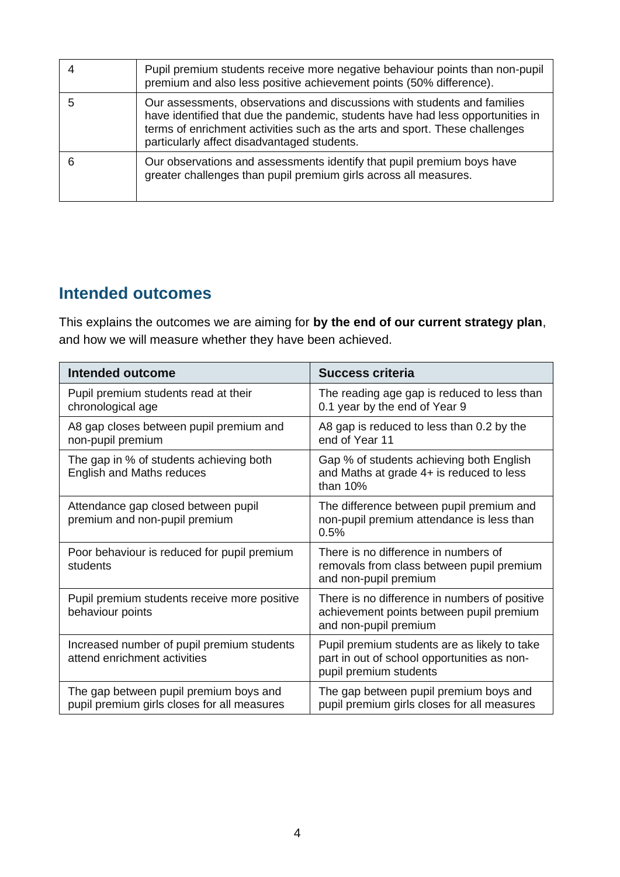| Pupil premium students receive more negative behaviour points than non-pupil<br>premium and also less positive achievement points (50% difference).                                                                                                                                      |
|------------------------------------------------------------------------------------------------------------------------------------------------------------------------------------------------------------------------------------------------------------------------------------------|
| Our assessments, observations and discussions with students and families<br>have identified that due the pandemic, students have had less opportunities in<br>terms of enrichment activities such as the arts and sport. These challenges<br>particularly affect disadvantaged students. |
| Our observations and assessments identify that pupil premium boys have<br>greater challenges than pupil premium girls across all measures.                                                                                                                                               |

#### **Intended outcomes**

This explains the outcomes we are aiming for **by the end of our current strategy plan**, and how we will measure whether they have been achieved.

| Intended outcome                                                                      | <b>Success criteria</b>                                                                                               |
|---------------------------------------------------------------------------------------|-----------------------------------------------------------------------------------------------------------------------|
| Pupil premium students read at their<br>chronological age                             | The reading age gap is reduced to less than<br>0.1 year by the end of Year 9                                          |
| A8 gap closes between pupil premium and<br>non-pupil premium                          | A8 gap is reduced to less than 0.2 by the<br>end of Year 11                                                           |
| The gap in % of students achieving both<br><b>English and Maths reduces</b>           | Gap % of students achieving both English<br>and Maths at grade 4+ is reduced to less<br>than $10%$                    |
| Attendance gap closed between pupil<br>premium and non-pupil premium                  | The difference between pupil premium and<br>non-pupil premium attendance is less than<br>0.5%                         |
| Poor behaviour is reduced for pupil premium<br>students                               | There is no difference in numbers of<br>removals from class between pupil premium<br>and non-pupil premium            |
| Pupil premium students receive more positive<br>behaviour points                      | There is no difference in numbers of positive<br>achievement points between pupil premium<br>and non-pupil premium    |
| Increased number of pupil premium students<br>attend enrichment activities            | Pupil premium students are as likely to take<br>part in out of school opportunities as non-<br>pupil premium students |
| The gap between pupil premium boys and<br>pupil premium girls closes for all measures | The gap between pupil premium boys and<br>pupil premium girls closes for all measures                                 |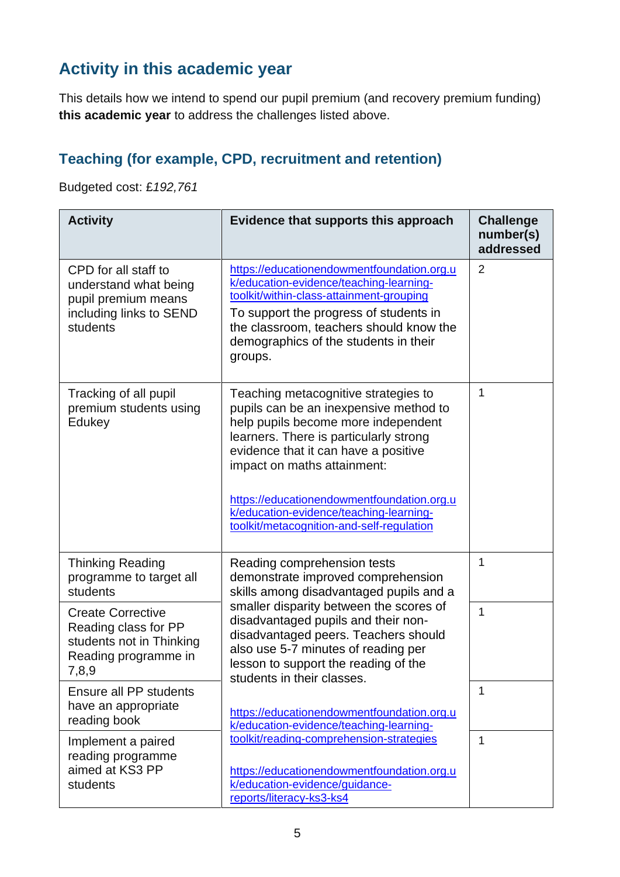## **Activity in this academic year**

This details how we intend to spend our pupil premium (and recovery premium funding) **this academic year** to address the challenges listed above.

#### **Teaching (for example, CPD, recruitment and retention)**

Budgeted cost: £*192,761*

| <b>Activity</b>                                                                                               | Evidence that supports this approach                                                                                                                                                                                                                                                                                                                                         | <b>Challenge</b><br>number(s)<br>addressed |
|---------------------------------------------------------------------------------------------------------------|------------------------------------------------------------------------------------------------------------------------------------------------------------------------------------------------------------------------------------------------------------------------------------------------------------------------------------------------------------------------------|--------------------------------------------|
| CPD for all staff to<br>understand what being<br>pupil premium means<br>including links to SEND<br>students   | https://educationendowmentfoundation.org.u<br>k/education-evidence/teaching-learning-<br>toolkit/within-class-attainment-grouping<br>To support the progress of students in<br>the classroom, teachers should know the<br>demographics of the students in their<br>groups.                                                                                                   | $\overline{2}$                             |
| Tracking of all pupil<br>premium students using<br>Edukey                                                     | Teaching metacognitive strategies to<br>pupils can be an inexpensive method to<br>help pupils become more independent<br>learners. There is particularly strong<br>evidence that it can have a positive<br>impact on maths attainment:<br>https://educationendowmentfoundation.org.u<br>k/education-evidence/teaching-learning-<br>toolkit/metacognition-and-self-regulation | 1                                          |
| <b>Thinking Reading</b><br>programme to target all<br>students                                                | Reading comprehension tests<br>demonstrate improved comprehension<br>skills among disadvantaged pupils and a                                                                                                                                                                                                                                                                 | 1                                          |
| <b>Create Corrective</b><br>Reading class for PP<br>students not in Thinking<br>Reading programme in<br>7,8,9 | smaller disparity between the scores of<br>disadvantaged pupils and their non-<br>disadvantaged peers. Teachers should<br>also use 5-7 minutes of reading per<br>lesson to support the reading of the<br>students in their classes.                                                                                                                                          | $\overline{1}$                             |
| Ensure all PP students<br>have an appropriate<br>reading book                                                 | https://educationendowmentfoundation.org.u<br>k/education-evidence/teaching-learning-                                                                                                                                                                                                                                                                                        | 1                                          |
| Implement a paired<br>reading programme<br>aimed at KS3 PP<br>students                                        | toolkit/reading-comprehension-strategies<br>https://educationendowmentfoundation.org.u<br>k/education-evidence/guidance-<br>reports/literacy-ks3-ks4                                                                                                                                                                                                                         | 1                                          |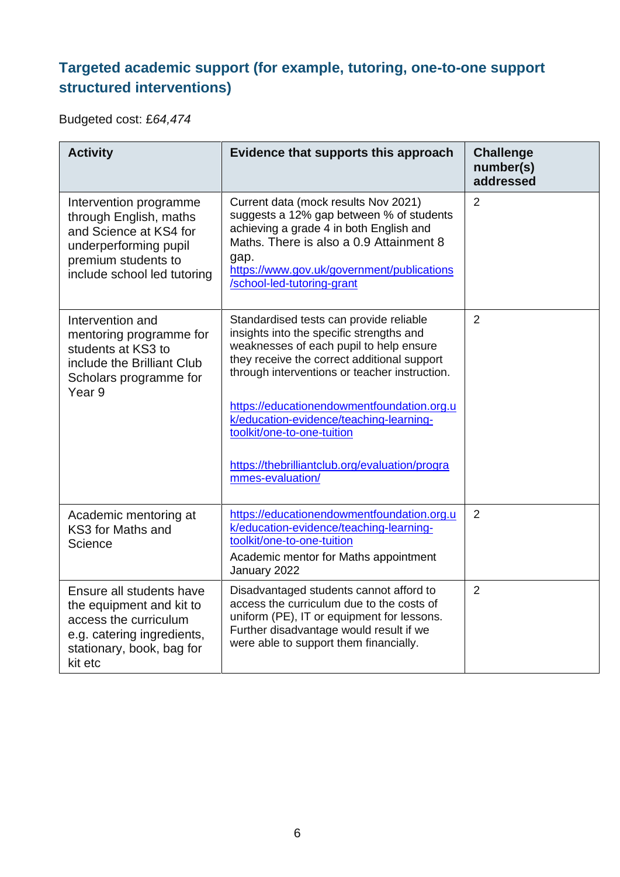### **Targeted academic support (for example, tutoring, one-to-one support structured interventions)**

Budgeted cost: £*64,474*

| <b>Activity</b>                                                                                                                                           | Evidence that supports this approach                                                                                                                                                                                                                                                                                                                                                                                        | <b>Challenge</b><br>number(s)<br>addressed |
|-----------------------------------------------------------------------------------------------------------------------------------------------------------|-----------------------------------------------------------------------------------------------------------------------------------------------------------------------------------------------------------------------------------------------------------------------------------------------------------------------------------------------------------------------------------------------------------------------------|--------------------------------------------|
| Intervention programme<br>through English, maths<br>and Science at KS4 for<br>underperforming pupil<br>premium students to<br>include school led tutoring | Current data (mock results Nov 2021)<br>suggests a 12% gap between % of students<br>achieving a grade 4 in both English and<br>Maths. There is also a 0.9 Attainment 8<br>gap.<br>https://www.gov.uk/government/publications<br>/school-led-tutoring-grant                                                                                                                                                                  | $\overline{2}$                             |
| Intervention and<br>mentoring programme for<br>students at KS3 to<br>include the Brilliant Club<br>Scholars programme for<br>Year <sub>9</sub>            | Standardised tests can provide reliable<br>insights into the specific strengths and<br>weaknesses of each pupil to help ensure<br>they receive the correct additional support<br>through interventions or teacher instruction.<br>https://educationendowmentfoundation.org.u<br>k/education-evidence/teaching-learning-<br>toolkit/one-to-one-tuition<br>https://thebrilliantclub.org/evaluation/progra<br>mmes-evaluation/ | $\overline{2}$                             |
| Academic mentoring at<br>KS3 for Maths and<br>Science                                                                                                     | https://educationendowmentfoundation.org.u<br>k/education-evidence/teaching-learning-<br>toolkit/one-to-one-tuition<br>Academic mentor for Maths appointment<br>January 2022                                                                                                                                                                                                                                                | $\overline{2}$                             |
| Ensure all students have<br>the equipment and kit to<br>access the curriculum<br>e.g. catering ingredients,<br>stationary, book, bag for<br>kit etc       | Disadvantaged students cannot afford to<br>access the curriculum due to the costs of<br>uniform (PE), IT or equipment for lessons.<br>Further disadvantage would result if we<br>were able to support them financially.                                                                                                                                                                                                     | $\overline{2}$                             |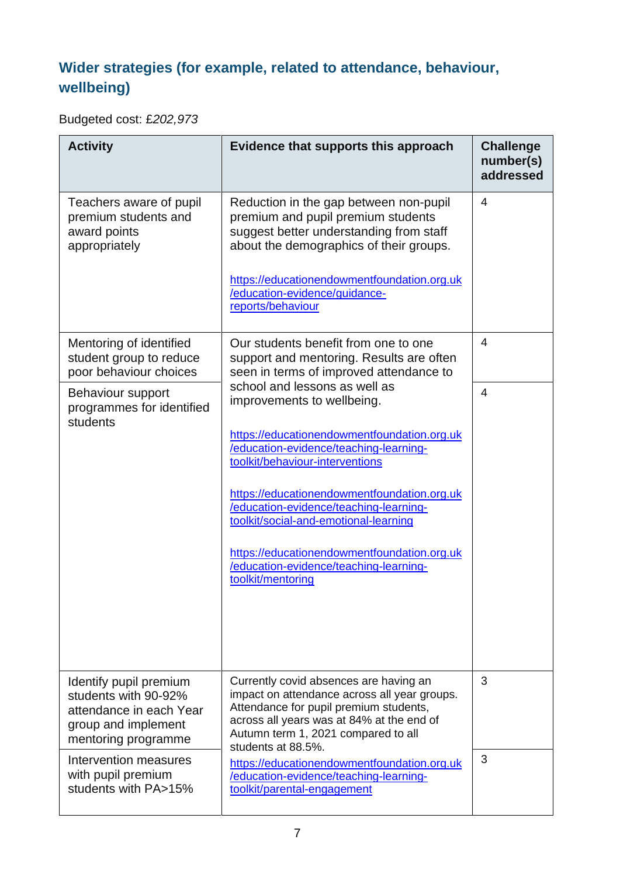## **Wider strategies (for example, related to attendance, behaviour, wellbeing)**

Budgeted cost: £*202,973*

| <b>Activity</b>                                                                                                         | Evidence that supports this approach                                                                                                                                                                                                                                                                                                                                                                                                    | <b>Challenge</b><br>number(s)<br>addressed |
|-------------------------------------------------------------------------------------------------------------------------|-----------------------------------------------------------------------------------------------------------------------------------------------------------------------------------------------------------------------------------------------------------------------------------------------------------------------------------------------------------------------------------------------------------------------------------------|--------------------------------------------|
| Teachers aware of pupil<br>premium students and<br>award points<br>appropriately                                        | Reduction in the gap between non-pupil<br>premium and pupil premium students<br>suggest better understanding from staff<br>about the demographics of their groups.<br>https://educationendowmentfoundation.org.uk<br>/education-evidence/guidance-<br>reports/behaviour                                                                                                                                                                 | $\overline{4}$                             |
| Mentoring of identified<br>student group to reduce<br>poor behaviour choices                                            | Our students benefit from one to one<br>support and mentoring. Results are often<br>seen in terms of improved attendance to                                                                                                                                                                                                                                                                                                             | 4                                          |
| Behaviour support<br>programmes for identified<br>students                                                              | school and lessons as well as<br>improvements to wellbeing.<br>https://educationendowmentfoundation.org.uk<br>/education-evidence/teaching-learning-<br>toolkit/behaviour-interventions<br>https://educationendowmentfoundation.org.uk<br>/education-evidence/teaching-learning-<br>toolkit/social-and-emotional-learning<br>https://educationendowmentfoundation.org.uk<br>/education-evidence/teaching-learning-<br>toolkit/mentoring | 4                                          |
| Identify pupil premium<br>students with 90-92%<br>attendance in each Year<br>group and implement<br>mentoring programme | Currently covid absences are having an<br>impact on attendance across all year groups.<br>Attendance for pupil premium students,<br>across all years was at 84% at the end of<br>Autumn term 1, 2021 compared to all<br>students at 88.5%.                                                                                                                                                                                              | 3                                          |
| Intervention measures<br>with pupil premium<br>students with PA>15%                                                     | https://educationendowmentfoundation.org.uk<br>/education-evidence/teaching-learning-<br>toolkit/parental-engagement                                                                                                                                                                                                                                                                                                                    | 3                                          |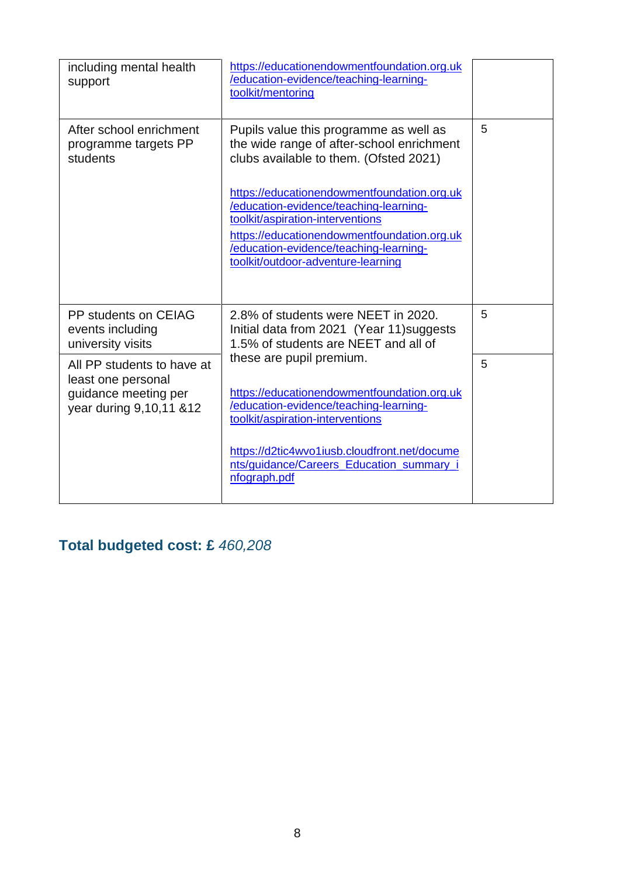| including mental health<br>support                                                                  | https://educationendowmentfoundation.org.uk<br>/education-evidence/teaching-learning-<br>toolkit/mentoring                                                                                                                                               |   |
|-----------------------------------------------------------------------------------------------------|----------------------------------------------------------------------------------------------------------------------------------------------------------------------------------------------------------------------------------------------------------|---|
| After school enrichment<br>programme targets PP<br>students                                         | Pupils value this programme as well as<br>the wide range of after-school enrichment<br>clubs available to them. (Ofsted 2021)                                                                                                                            | 5 |
|                                                                                                     | https://educationendowmentfoundation.org.uk<br>/education-evidence/teaching-learning-<br>toolkit/aspiration-interventions<br>https://educationendowmentfoundation.org.uk<br>/education-evidence/teaching-learning-<br>toolkit/outdoor-adventure-learning |   |
| PP students on CEIAG<br>events including<br>university visits                                       | 2.8% of students were NEET in 2020.<br>Initial data from 2021 (Year 11) suggests<br>1.5% of students are NEET and all of                                                                                                                                 | 5 |
| All PP students to have at<br>least one personal<br>guidance meeting per<br>year during 9,10,11 &12 | these are pupil premium.<br>https://educationendowmentfoundation.org.uk<br>/education-evidence/teaching-learning-<br>toolkit/aspiration-interventions                                                                                                    | 5 |
|                                                                                                     | https://d2tic4wvo1iusb.cloudfront.net/docume<br>nts/guidance/Careers_Education_summary_<br>nfograph.pdf                                                                                                                                                  |   |

**Total budgeted cost: £** *460,208*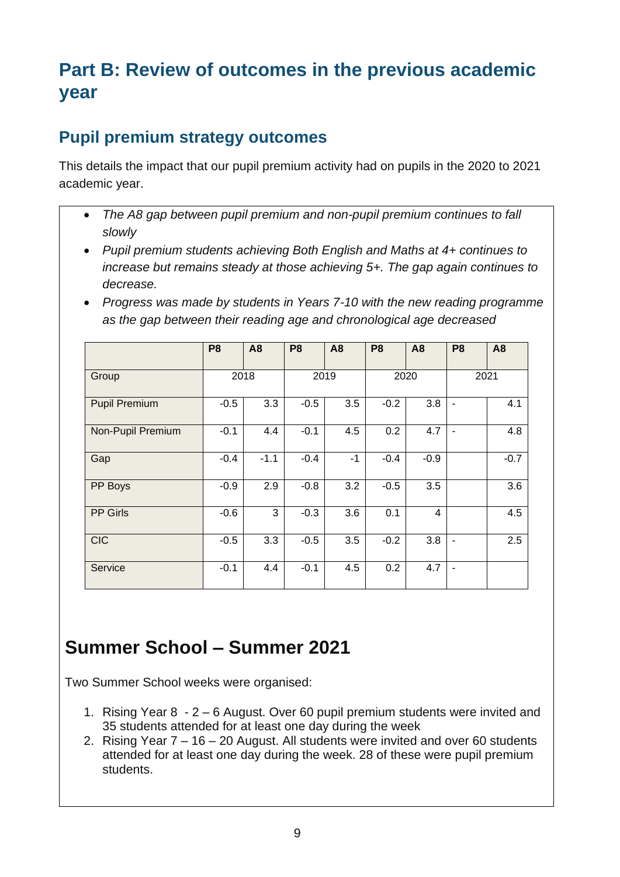## **Part B: Review of outcomes in the previous academic year**

#### **Pupil premium strategy outcomes**

This details the impact that our pupil premium activity had on pupils in the 2020 to 2021 academic year.

- *The A8 gap between pupil premium and non-pupil premium continues to fall slowly*
- *Pupil premium students achieving Both English and Maths at 4+ continues to increase but remains steady at those achieving 5+. The gap again continues to decrease.*
- *Progress was made by students in Years 7-10 with the new reading programme as the gap between their reading age and chronological age decreased*

|                      | P <sub>8</sub> | <b>A8</b> | P <sub>8</sub> | A <sub>8</sub> | P <sub>8</sub> | A <sub>8</sub> | P <sub>8</sub> | A <sub>8</sub> |
|----------------------|----------------|-----------|----------------|----------------|----------------|----------------|----------------|----------------|
| Group                | 2018           |           | 2019           |                | 2020           |                | 2021           |                |
| <b>Pupil Premium</b> | $-0.5$         | 3.3       | $-0.5$         | 3.5            | $-0.2$         | 3.8            |                | 4.1            |
| Non-Pupil Premium    | $-0.1$         | 4.4       | $-0.1$         | 4.5            | 0.2            | 4.7            | ۰              | 4.8            |
| Gap                  | $-0.4$         | $-1.1$    | $-0.4$         | $-1$           | $-0.4$         | $-0.9$         |                | $-0.7$         |
| PP Boys              | $-0.9$         | 2.9       | $-0.8$         | 3.2            | $-0.5$         | 3.5            |                | 3.6            |
| <b>PP Girls</b>      | $-0.6$         | 3         | $-0.3$         | 3.6            | 0.1            | $\overline{4}$ |                | 4.5            |
| <b>CIC</b>           | $-0.5$         | 3.3       | $-0.5$         | 3.5            | $-0.2$         | 3.8            |                | 2.5            |
| Service              | $-0.1$         | 4.4       | $-0.1$         | 4.5            | 0.2            | 4.7            |                |                |

## **Summer School – Summer 2021**

Two Summer School weeks were organised:

- 1. Rising Year 8 2 6 August. Over 60 pupil premium students were invited and 35 students attended for at least one day during the week
- 2. Rising Year 7 16 20 August. All students were invited and over 60 students attended for at least one day during the week. 28 of these were pupil premium students.